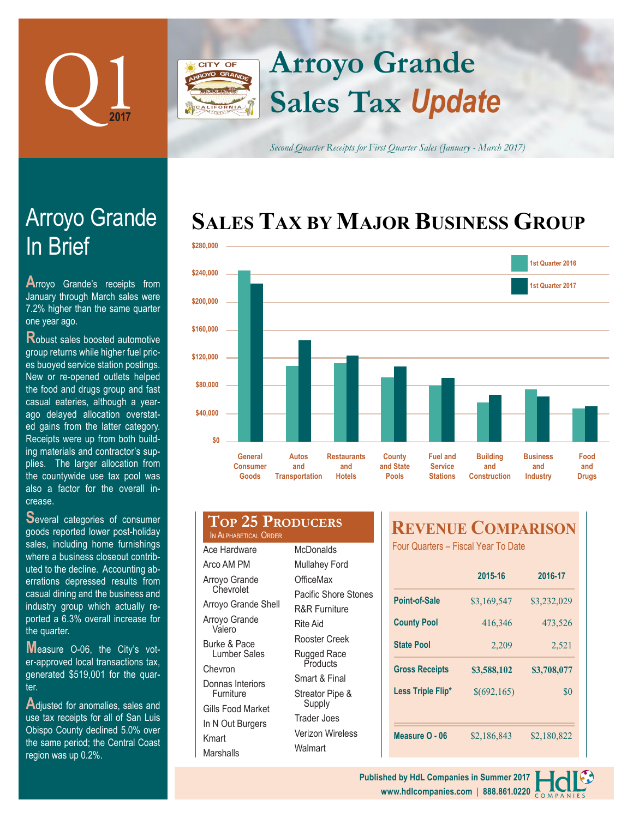

### **Arroyo Grande** CITY OF **Sales Tax** *Update*

*Second Quarter Receipts for First Quarter Sales (January - March 2017)*

# **SALES TAX BY MAJOR BUSINESS GROUP**



| ains from the latter category.<br>lipts were up from both build-<br>naterials and contractor's sup-<br>. The larger allocation from<br>countywide use tax pool was<br>a factor for the overall in-<br>se.                                                                                            | \$0<br><b>General</b><br><b>Consumer</b><br>Goods<br>Tr                                                                                |
|------------------------------------------------------------------------------------------------------------------------------------------------------------------------------------------------------------------------------------------------------------------------------------------------------|----------------------------------------------------------------------------------------------------------------------------------------|
| eral categories of consumer<br>s reported lower post-holiday<br>s, including home furnishings<br>e a business closeout contrib-<br>to the decline. Accounting ab-<br>ions depressed results from<br>al dining and the business and<br>stry group which actually re-<br>d a 6.3% overall increase for | Top 25 PR<br>IN ALPHABETICAL ORDER<br>Ace Hardware<br>Arco AM PM<br>Arroyo Grande<br>Chevrolet<br>Arroyo Grande Shell<br>Arroyo Grande |
| uarter.<br>asure O-06, the City's vot-<br>proved local transactions tax,                                                                                                                                                                                                                             | Valero<br>Burke & Pace<br>Lumber Sales<br>Chevron                                                                                      |

er-approved local transactions tax, generated \$519,001 for the quarter.

**A**djusted for anomalies, sales and use tax receipts for all of San Luis Obispo County declined 5.0% over the same period; the Central Coast region was up 0.2%.

#### Donnas Interiors Furniture Gills Food Market McDonalds Mullahey Ford **OfficeMax** Pacific Shore Stones R&R Furniture Rite Aid Rooster Creek Rugged Race **Products** Smart & Final Streator Pipe & Supply

**ODUCERS** 

Trader Joes Verizon Wireless Walmart

In N Out Burgers

Kmart Marshalls

## **REVENUE COMPARISON**

Four Quarters – Fiscal Year To Date

|                       | 2015-16     | 2016-17     |  |
|-----------------------|-------------|-------------|--|
| Point-of-Sale         | \$3,169,547 | \$3,232,029 |  |
| <b>County Pool</b>    | 416,346     | 473,526     |  |
| <b>State Pool</b>     | 2,209       | 2,521       |  |
| <b>Gross Receipts</b> | \$3,588,102 | \$3,708,077 |  |
| Less Triple Flip*     | \$(692,165) | \$0         |  |
|                       |             |             |  |
| Measure O - 06        | \$2,186,843 | \$2,180,822 |  |



# In Brief Arroyo Grande

**A**rroyo Grande's receipts from January through March sales were 7.2% higher than the same quarter one year ago.

**R**obust sales boosted automotive group returns while higher fuel prices buoyed service station postings. New or re-opened outlets helped the food and drugs group and fast casual eateries, although a yearago delayed allocation overstated a Rece  $ing<sub>n</sub>$ plies. The larger allocation from the countywide use tax pool was also a factor for the overall increa

**S**everal categories of consumer good sales, including home furnishings where a business closeout contributed errations depressed results from casual dining and the business and industry group which actually reported a 6.3% overall increase for the  $q$ 

**M**easure O-06, the City's vot-